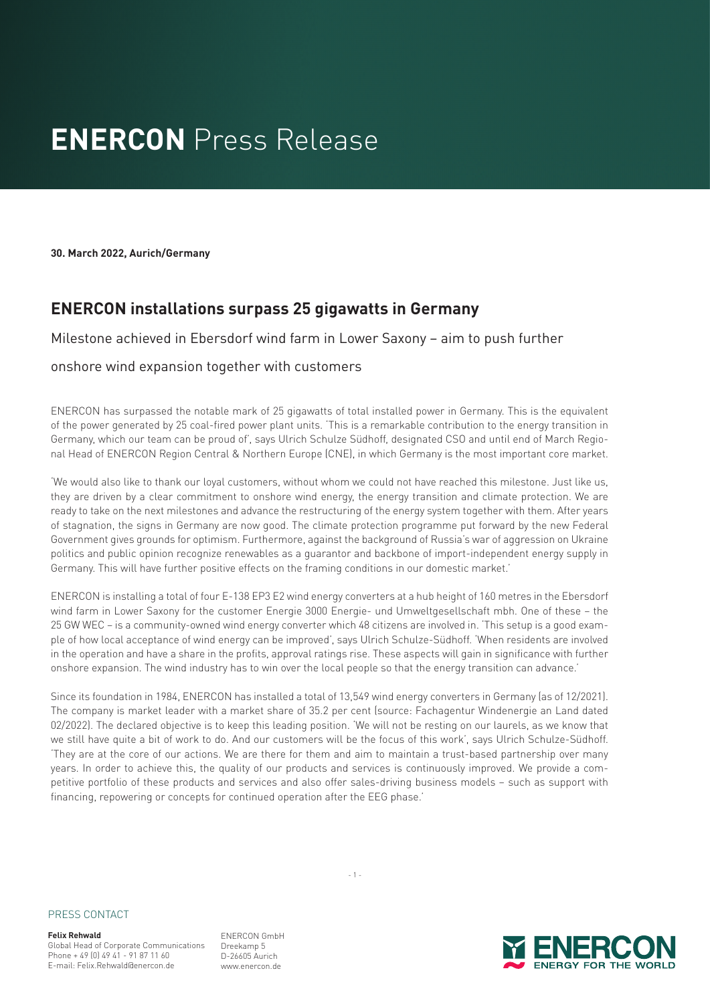## **ENERCON** Press Release

**30. March 2022, Aurich/Germany**

### **ENERCON installations surpass 25 gigawatts in Germany**

#### Milestone achieved in Ebersdorf wind farm in Lower Saxony – aim to push further

#### onshore wind expansion together with customers

ENERCON has surpassed the notable mark of 25 gigawatts of total installed power in Germany. This is the equivalent of the power generated by 25 coal-fired power plant units. 'This is a remarkable contribution to the energy transition in Germany, which our team can be proud of', says Ulrich Schulze Südhoff, designated CSO and until end of March Regional Head of ENERCON Region Central & Northern Europe (CNE), in which Germany is the most important core market.

'We would also like to thank our loyal customers, without whom we could not have reached this milestone. Just like us, they are driven by a clear commitment to onshore wind energy, the energy transition and climate protection. We are ready to take on the next milestones and advance the restructuring of the energy system together with them. After years of stagnation, the signs in Germany are now good. The climate protection programme put forward by the new Federal Government gives grounds for optimism. Furthermore, against the background of Russia's war of aggression on Ukraine politics and public opinion recognize renewables as a guarantor and backbone of import-independent energy supply in Germany. This will have further positive effects on the framing conditions in our domestic market.'

ENERCON is installing a total of four E-138 EP3 E2 wind energy converters at a hub height of 160 metres in the Ebersdorf wind farm in Lower Saxony for the customer Energie 3000 Energie- und Umweltgesellschaft mbh. One of these – the 25 GW WEC – is a community-owned wind energy converter which 48 citizens are involved in. 'This setup is a good example of how local acceptance of wind energy can be improved', says Ulrich Schulze-Südhoff. 'When residents are involved in the operation and have a share in the profits, approval ratings rise. These aspects will gain in significance with further onshore expansion. The wind industry has to win over the local people so that the energy transition can advance.'

Since its foundation in 1984, ENERCON has installed a total of 13,549 wind energy converters in Germany (as of 12/2021). The company is market leader with a market share of 35.2 per cent (source: Fachagentur Windenergie an Land dated 02/2022). The declared objective is to keep this leading position. 'We will not be resting on our laurels, as we know that we still have quite a bit of work to do. And our customers will be the focus of this work', says Ulrich Schulze-Südhoff. 'They are at the core of our actions. We are there for them and aim to maintain a trust-based partnership over many years. In order to achieve this, the quality of our products and services is continuously improved. We provide a competitive portfolio of these products and services and also offer sales-driving business models – such as support with financing, repowering or concepts for continued operation after the EEG phase.'

PRESS CONTACT

**Felix Rehwald** Global Head of Corporate Communications Phone + 49 (0) 49 41 - 91 87 11 60 E-mail: Felix.Rehwald@enercon.de

ENERCON GmbH Dreekamp 5 D-26605 Aurich www.enercon.de